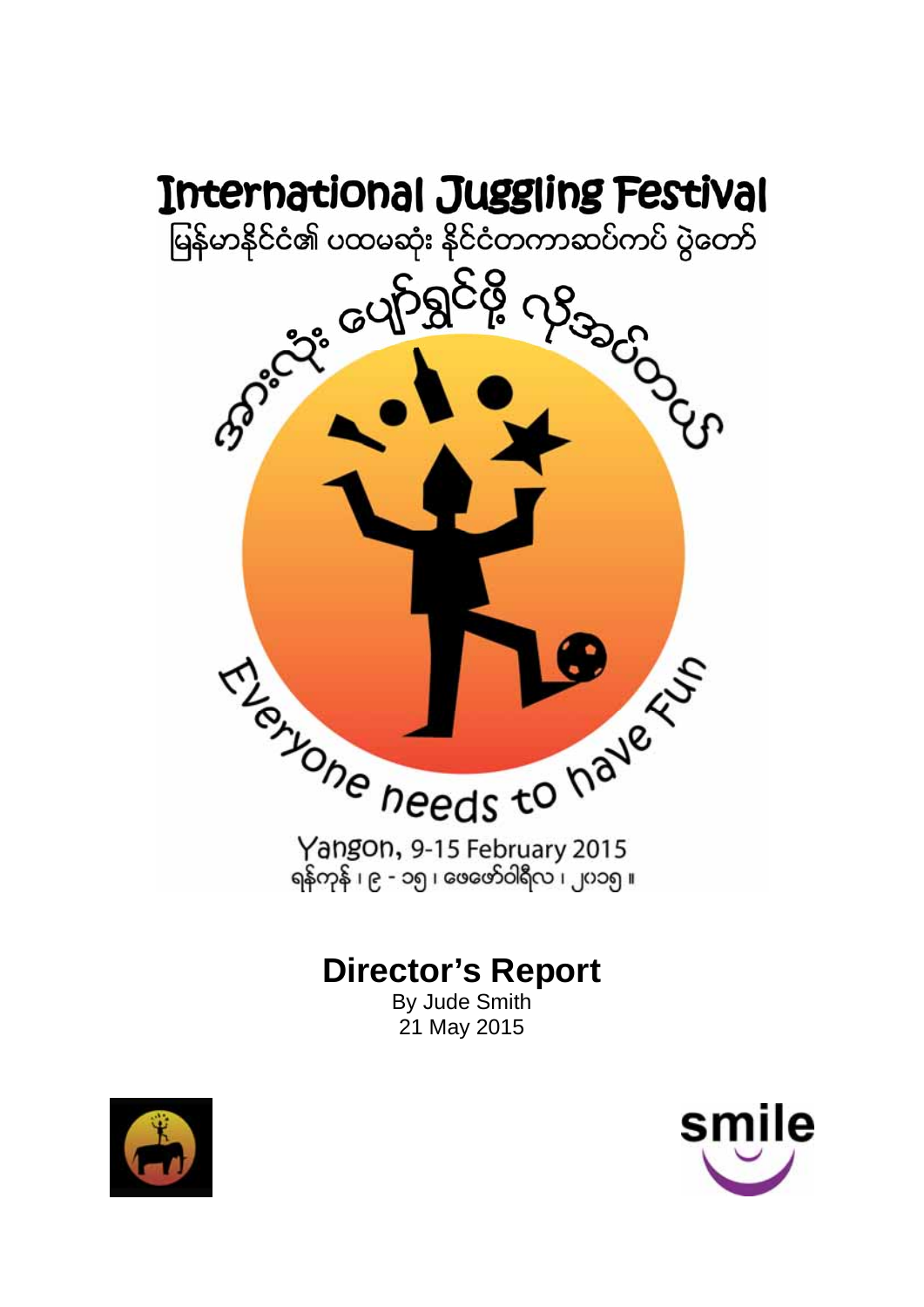

## **Director's Report**

By Jude Smith 21 May 2015



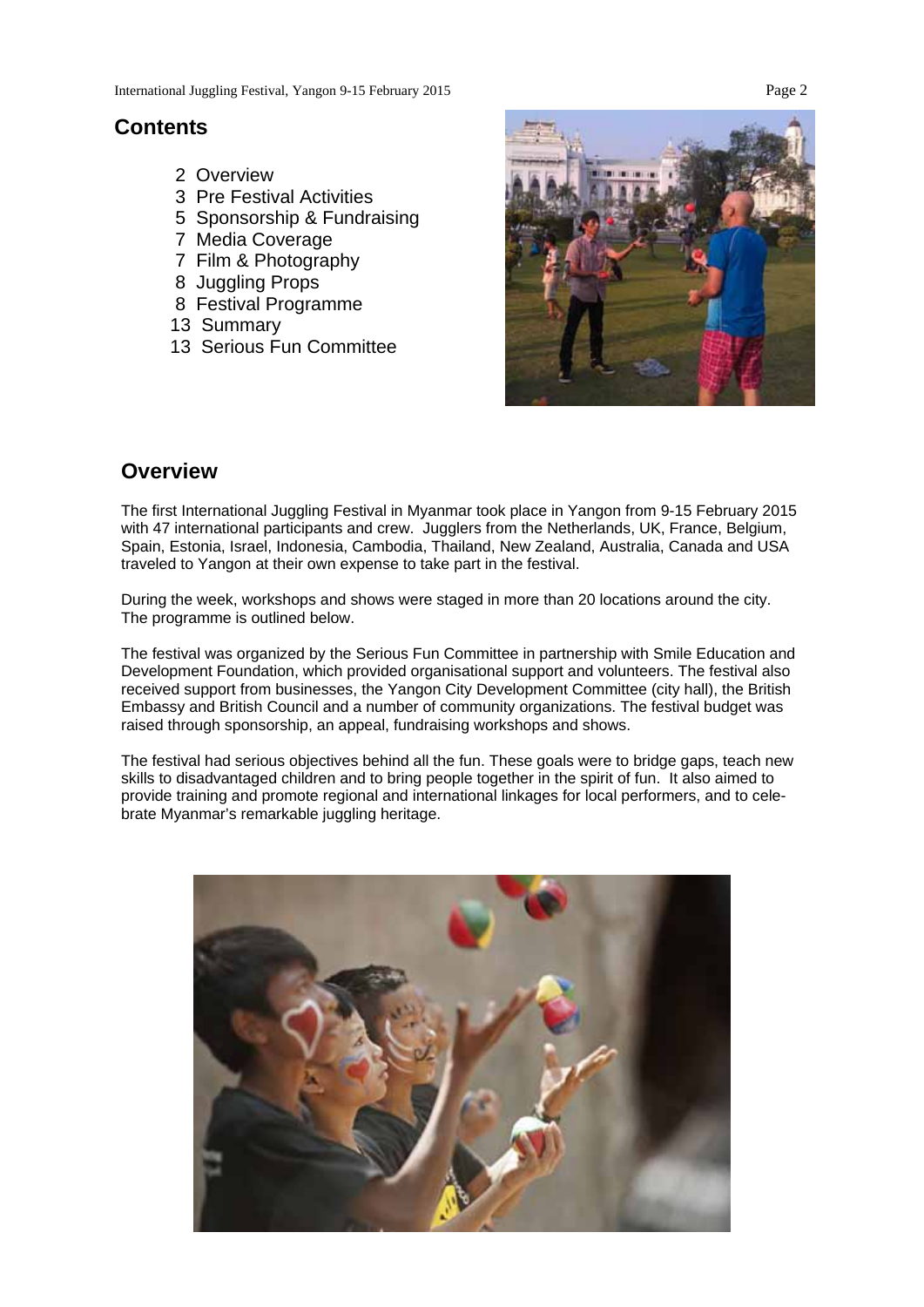## **Contents**

- 2 Overview
- 3 Pre Festival Activities
- 5 Sponsorship & Fundraising
- 7 Media Coverage
- 7 Film & Photography
- 8 Juggling Props
- 8 Festival Programme
- 13 Summary
- 13 Serious Fun Committee



## **Overview**

The first International Juggling Festival in Myanmar took place in Yangon from 9-15 February 2015 with 47 international participants and crew. Jugglers from the Netherlands, UK, France, Belgium, Spain, Estonia, Israel, Indonesia, Cambodia, Thailand, New Zealand, Australia, Canada and USA traveled to Yangon at their own expense to take part in the festival.

During the week, workshops and shows were staged in more than 20 locations around the city. The programme is outlined below.

The festival was organized by the Serious Fun Committee in partnership with Smile Education and Development Foundation, which provided organisational support and volunteers. The festival also received support from businesses, the Yangon City Development Committee (city hall), the British Embassy and British Council and a number of community organizations. The festival budget was raised through sponsorship, an appeal, fundraising workshops and shows.

The festival had serious objectives behind all the fun. These goals were to bridge gaps, teach new skills to disadvantaged children and to bring people together in the spirit of fun. It also aimed to provide training and promote regional and international linkages for local performers, and to celebrate Myanmar's remarkable juggling heritage.

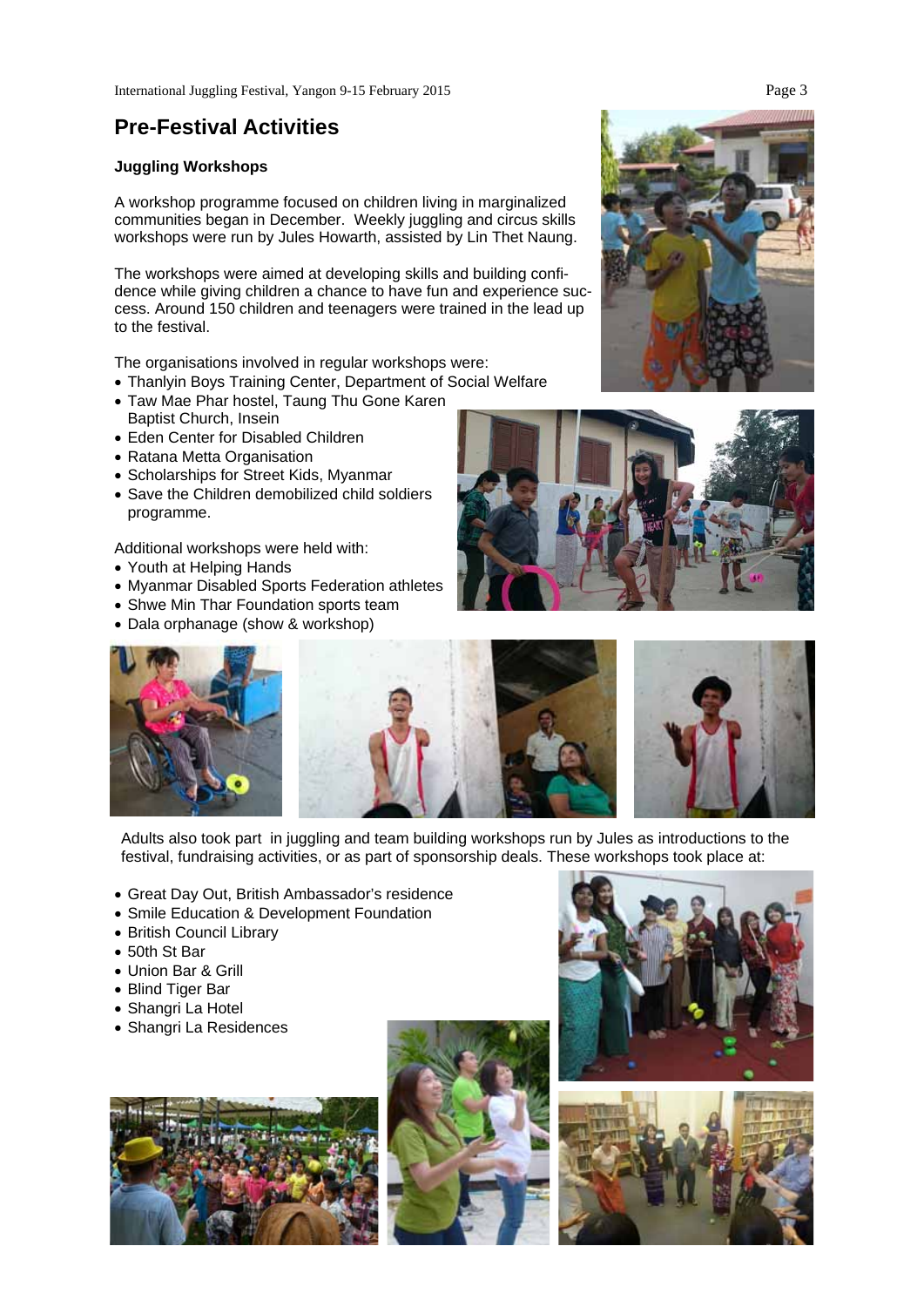## **Pre-Festival Activities**

## **Juggling Workshops**

A workshop programme focused on children living in marginalized communities began in December. Weekly juggling and circus skills workshops were run by Jules Howarth, assisted by Lin Thet Naung.

The workshops were aimed at developing skills and building confidence while giving children a chance to have fun and experience success. Around 150 children and teenagers were trained in the lead up to the festival.

The organisations involved in regular workshops were:

- Thanlyin Boys Training Center, Department of Social Welfare
- Taw Mae Phar hostel, Taung Thu Gone Karen Baptist Church, Insein
- Eden Center for Disabled Children
- Ratana Metta Organisation
- Scholarships for Street Kids, Myanmar
- Save the Children demobilized child soldiers programme.

Additional workshops were held with:

- Youth at Helping Hands
- Myanmar Disabled Sports Federation athletes
- Shwe Min Thar Foundation sports team
- Dala orphanage (show & workshop)







Adults also took part in juggling and team building workshops run by Jules as introductions to the festival, fundraising activities, or as part of sponsorship deals. These workshops took place at:

- Great Day Out, British Ambassador's residence
- Smile Education & Development Foundation
- British Council Library
- 50th St Bar
- Union Bar & Grill
- Blind Tiger Bar
- Shangri La Hotel
- Shangri La Residences









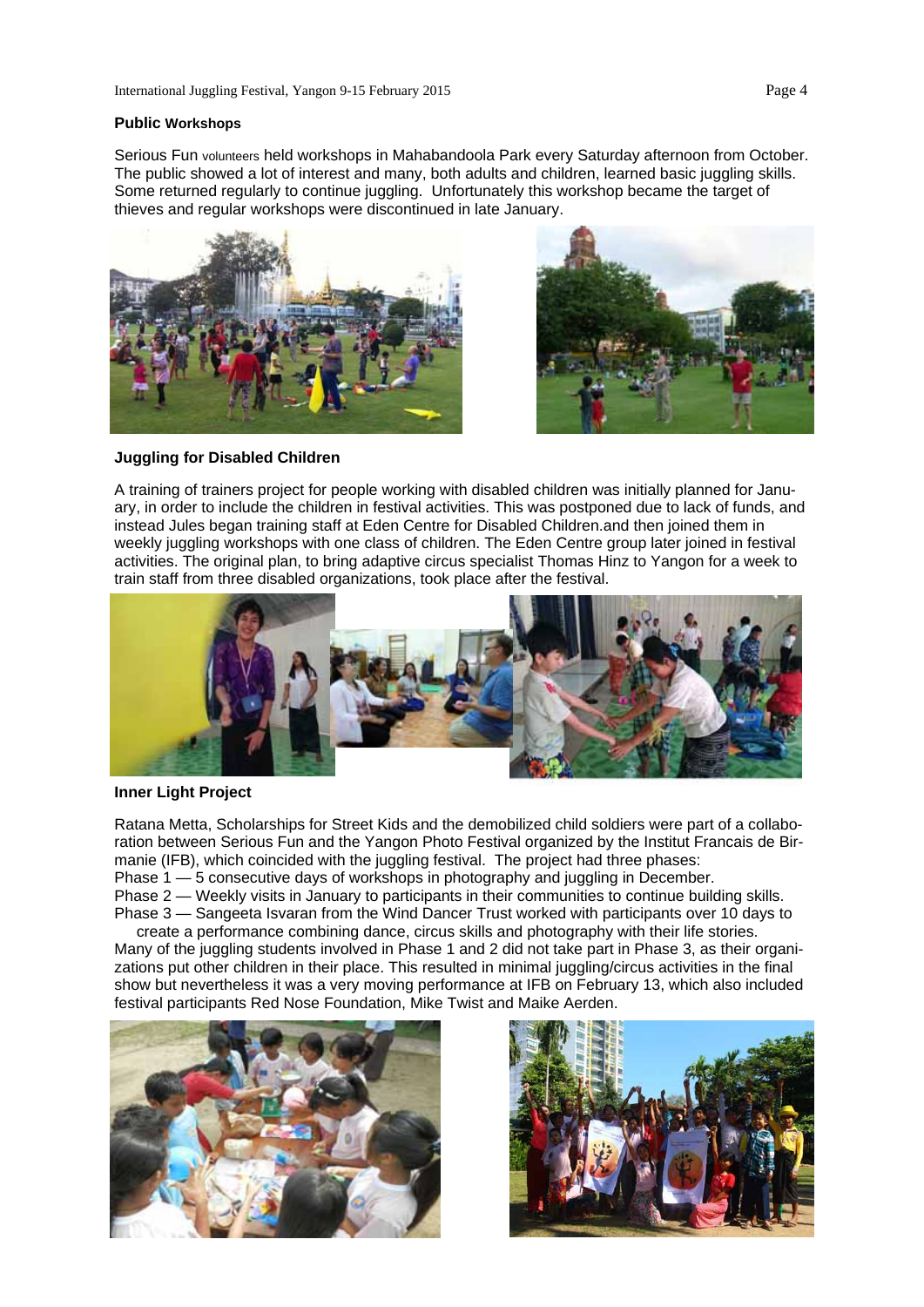#### **Public Workshops**

Serious Fun volunteers held workshops in Mahabandoola Park every Saturday afternoon from October. The public showed a lot of interest and many, both adults and children, learned basic juggling skills. Some returned regularly to continue juggling. Unfortunately this workshop became the target of thieves and regular workshops were discontinued in late January.





#### **Juggling for Disabled Children**

A training of trainers project for people working with disabled children was initially planned for January, in order to include the children in festival activities. This was postponed due to lack of funds, and instead Jules began training staff at Eden Centre for Disabled Children.and then joined them in weekly juggling workshops with one class of children. The Eden Centre group later joined in festival activities. The original plan, to bring adaptive circus specialist Thomas Hinz to Yangon for a week to train staff from three disabled organizations, took place after the festival.



### **Inner Light Project**

Ratana Metta, Scholarships for Street Kids and the demobilized child soldiers were part of a collaboration between Serious Fun and the Yangon Photo Festival organized by the Institut Francais de Birmanie (IFB), which coincided with the juggling festival. The project had three phases:

Phase 1 — 5 consecutive days of workshops in photography and juggling in December.

Phase 2 — Weekly visits in January to participants in their communities to continue building skills. Phase 3 — Sangeeta Isvaran from the Wind Dancer Trust worked with participants over 10 days to

create a performance combining dance, circus skills and photography with their life stories. Many of the juggling students involved in Phase 1 and 2 did not take part in Phase 3, as their organizations put other children in their place. This resulted in minimal juggling/circus activities in the final show but nevertheless it was a very moving performance at IFB on February 13, which also included festival participants Red Nose Foundation, Mike Twist and Maike Aerden.



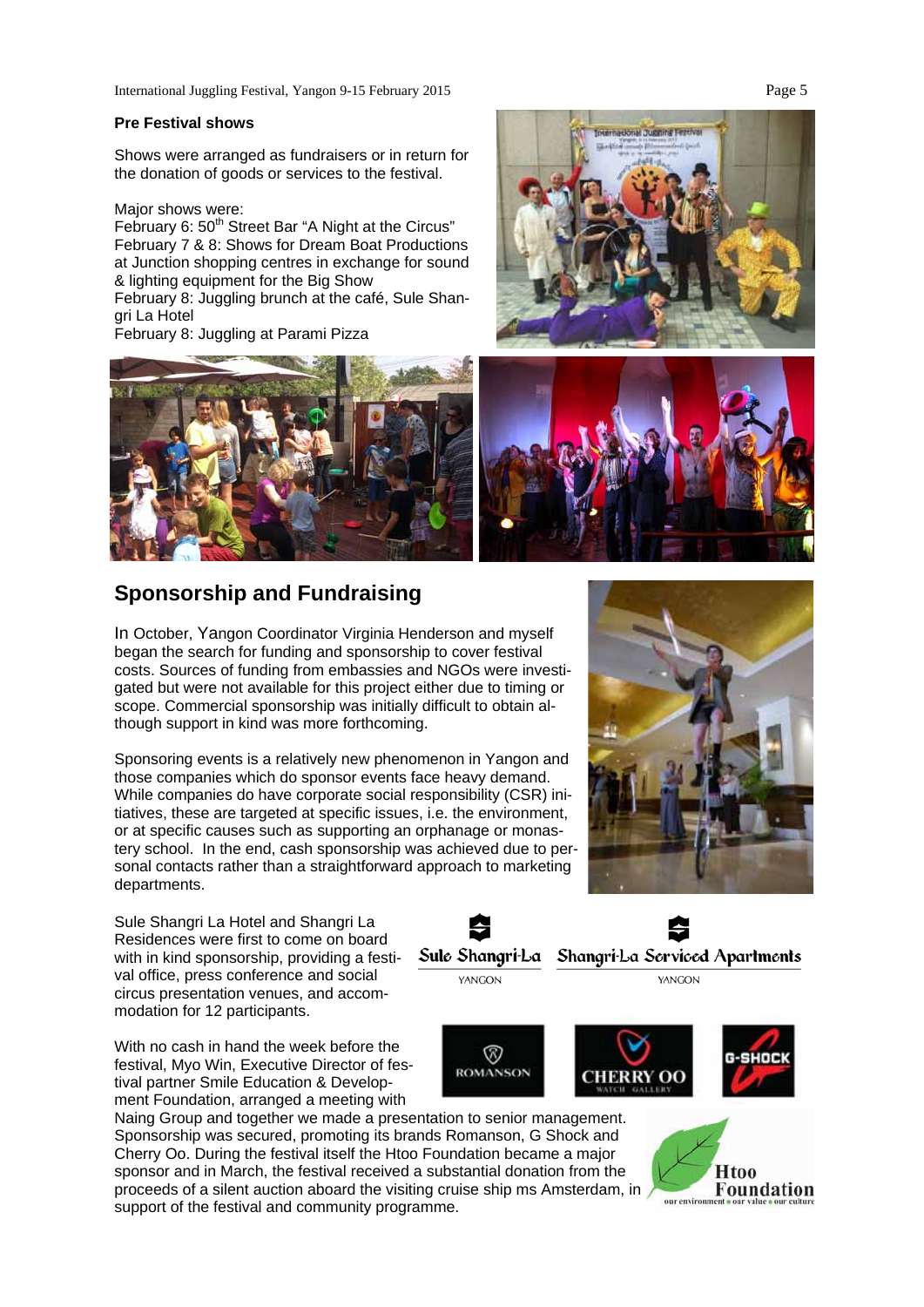International Juggling Festival, Yangon 9-15 February 2015 Page 5

#### **Pre Festival shows**

Shows were arranged as fundraisers or in return for the donation of goods or services to the festival.

Major shows were:

February 6: 50<sup>th</sup> Street Bar "A Night at the Circus" February 7 & 8: Shows for Dream Boat Productions at Junction shopping centres in exchange for sound & lighting equipment for the Big Show

February 8: Juggling brunch at the café, Sule Shangri La Hotel

February 8: Juggling at Parami Pizza





## **Sponsorship and Fundraising**

In October, Yangon Coordinator Virginia Henderson and myself began the search for funding and sponsorship to cover festival costs. Sources of funding from embassies and NGOs were investigated but were not available for this project either due to timing or scope. Commercial sponsorship was initially difficult to obtain although support in kind was more forthcoming.

Sponsoring events is a relatively new phenomenon in Yangon and those companies which do sponsor events face heavy demand. While companies do have corporate social responsibility (CSR) initiatives, these are targeted at specific issues, i.e. the environment, or at specific causes such as supporting an orphanage or monastery school. In the end, cash sponsorship was achieved due to personal contacts rather than a straightforward approach to marketing departments.

Sule Shangri La Hotel and Shangri La Residences were first to come on board with in kind sponsorship, providing a festival office, press conference and social circus presentation venues, and accommodation for 12 participants.

With no cash in hand the week before the festival, Myo Win, Executive Director of festival partner Smile Education & Development Foundation, arranged a meeting with

Naing Group and together we made a presentation to senior management. Sponsorship was secured, promoting its brands Romanson, G Shock and Cherry Oo. During the festival itself the Htoo Foundation became a major sponsor and in March, the festival received a substantial donation from the proceeds of a silent auction aboard the visiting cruise ship ms Amsterdam, in support of the festival and community programme.





**Htoo Foundation**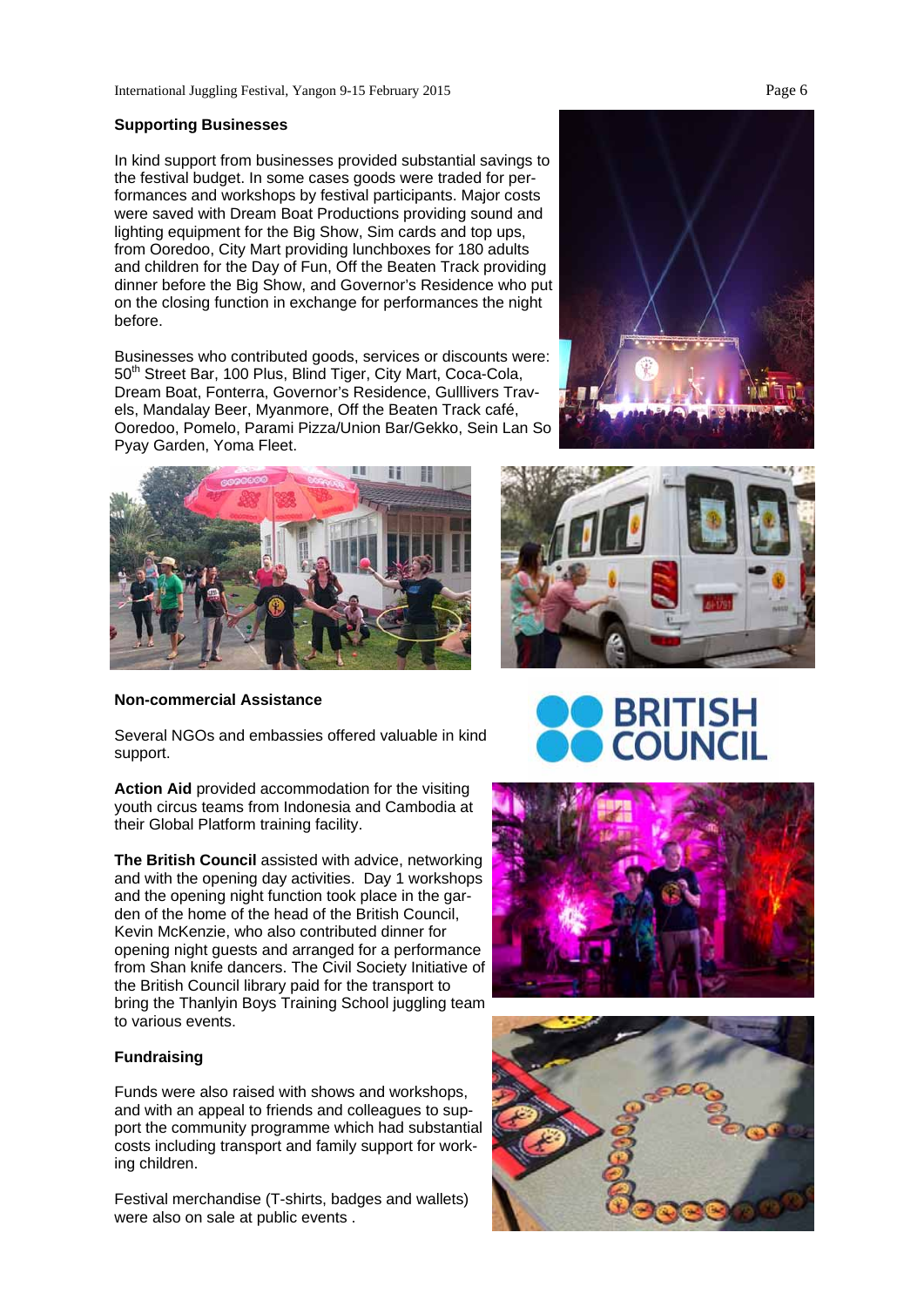#### **Supporting Businesses**

In kind support from businesses provided substantial savings to the festival budget. In some cases goods were traded for performances and workshops by festival participants. Major costs were saved with Dream Boat Productions providing sound and lighting equipment for the Big Show, Sim cards and top ups, from Ooredoo, City Mart providing lunchboxes for 180 adults and children for the Day of Fun, Off the Beaten Track providing dinner before the Big Show, and Governor's Residence who put on the closing function in exchange for performances the night before.

Businesses who contributed goods, services or discounts were: 50<sup>th</sup> Street Bar, 100 Plus, Blind Tiger, City Mart, Coca-Cola, Dream Boat, Fonterra, Governor's Residence, Gulllivers Travels, Mandalay Beer, Myanmore, Off the Beaten Track café, Ooredoo, Pomelo, Parami Pizza/Union Bar/Gekko, Sein Lan So Pyay Garden, Yoma Fleet.



**Non-commercial Assistance** 

Several NGOs and embassies offered valuable in kind support.

**Action Aid** provided accommodation for the visiting youth circus teams from Indonesia and Cambodia at their Global Platform training facility.

**The British Council** assisted with advice, networking and with the opening day activities. Day 1 workshops and the opening night function took place in the garden of the home of the head of the British Council, Kevin McKenzie, who also contributed dinner for opening night guests and arranged for a performance from Shan knife dancers. The Civil Society Initiative of the British Council library paid for the transport to bring the Thanlyin Boys Training School juggling team to various events.

## **Fundraising**

Funds were also raised with shows and workshops, and with an appeal to friends and colleagues to support the community programme which had substantial costs including transport and family support for working children.

Festival merchandise (T-shirts, badges and wallets) were also on sale at public events .





# **BRITISH**



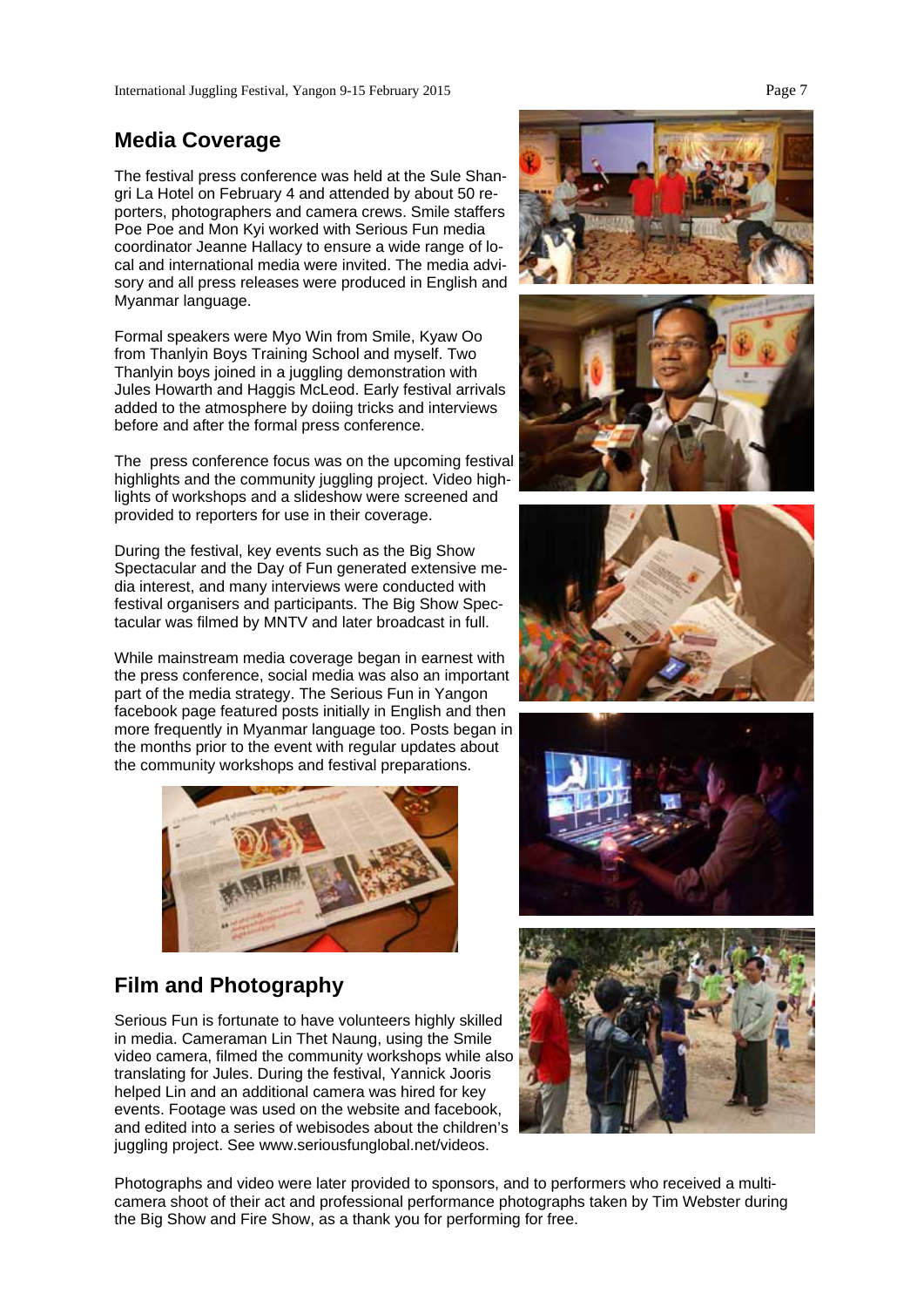## **Media Coverage**

The festival press conference was held at the Sule Shangri La Hotel on February 4 and attended by about 50 reporters, photographers and camera crews. Smile staffers Poe Poe and Mon Kyi worked with Serious Fun media coordinator Jeanne Hallacy to ensure a wide range of local and international media were invited. The media advisory and all press releases were produced in English and Myanmar language.

Formal speakers were Myo Win from Smile, Kyaw Oo from Thanlyin Boys Training School and myself. Two Thanlyin boys joined in a juggling demonstration with Jules Howarth and Haggis McLeod. Early festival arrivals added to the atmosphere by doiing tricks and interviews before and after the formal press conference.

The press conference focus was on the upcoming festival highlights and the community juggling project. Video highlights of workshops and a slideshow were screened and provided to reporters for use in their coverage.

During the festival, key events such as the Big Show Spectacular and the Day of Fun generated extensive media interest, and many interviews were conducted with festival organisers and participants. The Big Show Spectacular was filmed by MNTV and later broadcast in full.

While mainstream media coverage began in earnest with the press conference, social media was also an important part of the media strategy. The Serious Fun in Yangon facebook page featured posts initially in English and then more frequently in Myanmar language too. Posts began in the months prior to the event with regular updates about the community workshops and festival preparations.



## **Film and Photography**

Serious Fun is fortunate to have volunteers highly skilled in media. Cameraman Lin Thet Naung, using the Smile video camera, filmed the community workshops while also translating for Jules. During the festival, Yannick Jooris helped Lin and an additional camera was hired for key events. Footage was used on the website and facebook, and edited into a series of webisodes about the children's juggling project. See www.seriousfunglobal.net/videos.











Photographs and video were later provided to sponsors, and to performers who received a multicamera shoot of their act and professional performance photographs taken by Tim Webster during the Big Show and Fire Show, as a thank you for performing for free.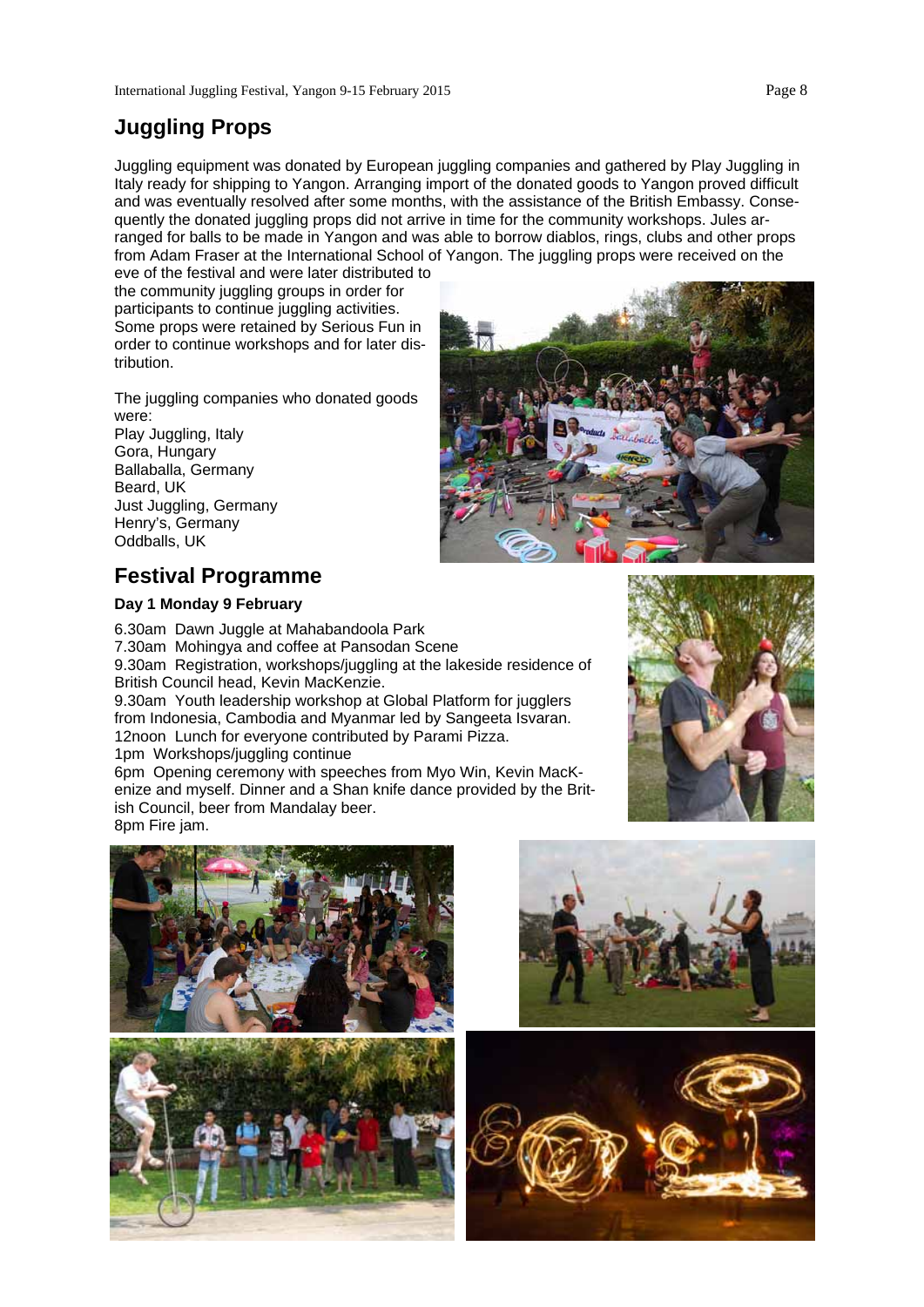## **Juggling Props**

Juggling equipment was donated by European juggling companies and gathered by Play Juggling in Italy ready for shipping to Yangon. Arranging import of the donated goods to Yangon proved difficult and was eventually resolved after some months, with the assistance of the British Embassy. Consequently the donated juggling props did not arrive in time for the community workshops. Jules arranged for balls to be made in Yangon and was able to borrow diablos, rings, clubs and other props from Adam Fraser at the International School of Yangon. The juggling props were received on the

eve of the festival and were later distributed to the community juggling groups in order for participants to continue juggling activities. Some props were retained by Serious Fun in order to continue workshops and for later distribution.

The juggling companies who donated goods were: Play Juggling, Italy Gora, Hungary

Ballaballa, Germany Beard, UK Just Juggling, Germany Henry's, Germany Oddballs, UK

## **Festival Programme**

## **Day 1 Monday 9 February**

6.30am Dawn Juggle at Mahabandoola Park 7.30am Mohingya and coffee at Pansodan Scene 9.30am Registration, workshops/juggling at the lakeside residence of British Council head, Kevin MacKenzie.

9.30am Youth leadership workshop at Global Platform for jugglers from Indonesia, Cambodia and Myanmar led by Sangeeta Isvaran. 12noon Lunch for everyone contributed by Parami Pizza. 1pm Workshops/juggling continue

6pm Opening ceremony with speeches from Myo Win, Kevin MacKenize and myself. Dinner and a Shan knife dance provided by the British Council, beer from Mandalay beer.







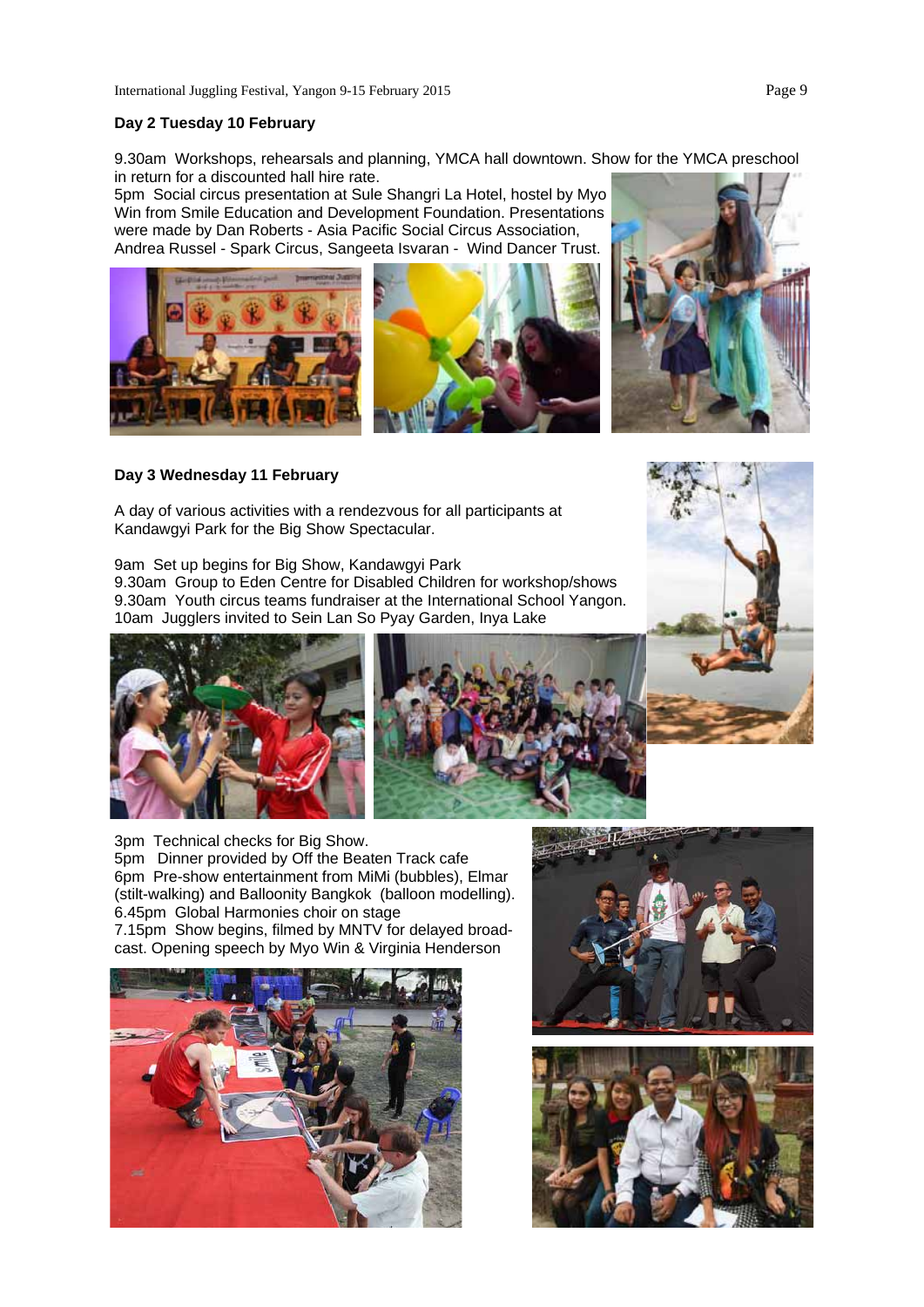9.30am Workshops, rehearsals and planning, YMCA hall downtown. Show for the YMCA preschool in return for a discounted hall hire rate.

5pm Social circus presentation at Sule Shangri La Hotel, hostel by Myo Win from Smile Education and Development Foundation. Presentations were made by Dan Roberts - Asia Pacific Social Circus Association, Andrea Russel - Spark Circus, Sangeeta Isvaran - Wind Dancer Trust.







## **Day 3 Wednesday 11 February**

A day of various activities with a rendezvous for all participants at Kandawgyi Park for the Big Show Spectacular.

9am Set up begins for Big Show, Kandawgyi Park 9.30am Group to Eden Centre for Disabled Children for workshop/shows 9.30am Youth circus teams fundraiser at the International School Yangon. 10am Jugglers invited to Sein Lan So Pyay Garden, Inya Lake





3pm Technical checks for Big Show. 5pm Dinner provided by Off the Beaten Track cafe 6pm Pre-show entertainment from MiMi (bubbles), Elmar (stilt-walking) and Balloonity Bangkok (balloon modelling). 6.45pm Global Harmonies choir on stage 7.15pm Show begins, filmed by MNTV for delayed broadcast. Opening speech by Myo Win & Virginia Henderson





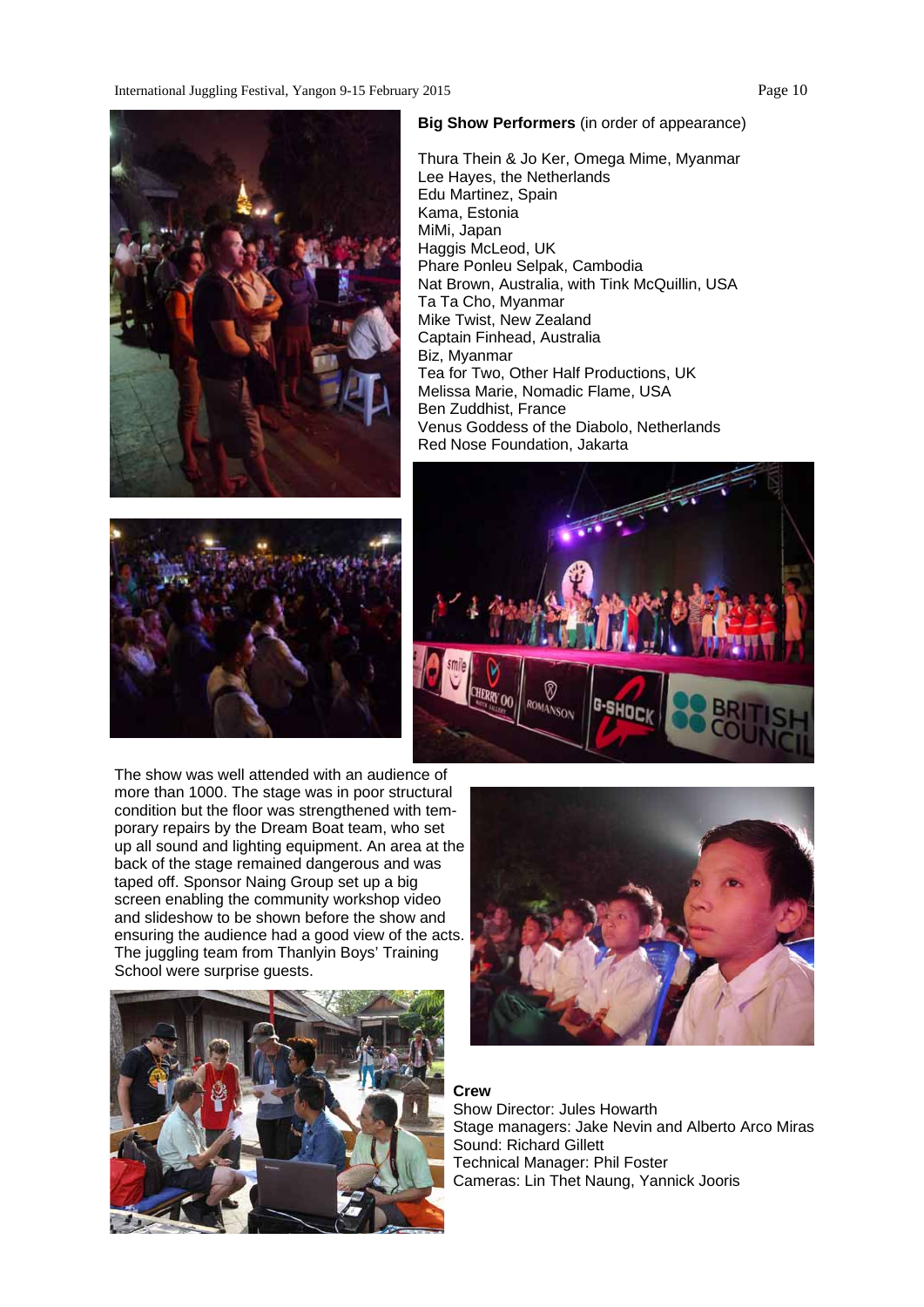International Juggling Festival, Yangon 9-15 February 2015 Page 10





The show was well attended with an audience of more than 1000. The stage was in poor structural condition but the floor was strengthened with temporary repairs by the Dream Boat team, who set up all sound and lighting equipment. An area at the back of the stage remained dangerous and was taped off. Sponsor Naing Group set up a big screen enabling the community workshop video and slideshow to be shown before the show and ensuring the audience had a good view of the acts. The juggling team from Thanlyin Boys' Training School were surprise guests.



#### **Big Show Performers** (in order of appearance)

Thura Thein & Jo Ker, Omega Mime, Myanmar Lee Hayes, the Netherlands Edu Martinez, Spain Kama, Estonia MiMi, Japan Haggis McLeod, UK Phare Ponleu Selpak, Cambodia Nat Brown, Australia, with Tink McQuillin, USA Ta Ta Cho, Myanmar Mike Twist, New Zealand Captain Finhead, Australia Biz, Myanmar Tea for Two, Other Half Productions, UK Melissa Marie, Nomadic Flame, USA Ben Zuddhist, France Venus Goddess of the Diabolo, Netherlands Red Nose Foundation, Jakarta





### **Crew**

Show Director: Jules Howarth Stage managers: Jake Nevin and Alberto Arco Miras Sound: Richard Gillett Technical Manager: Phil Foster Cameras: Lin Thet Naung, Yannick Jooris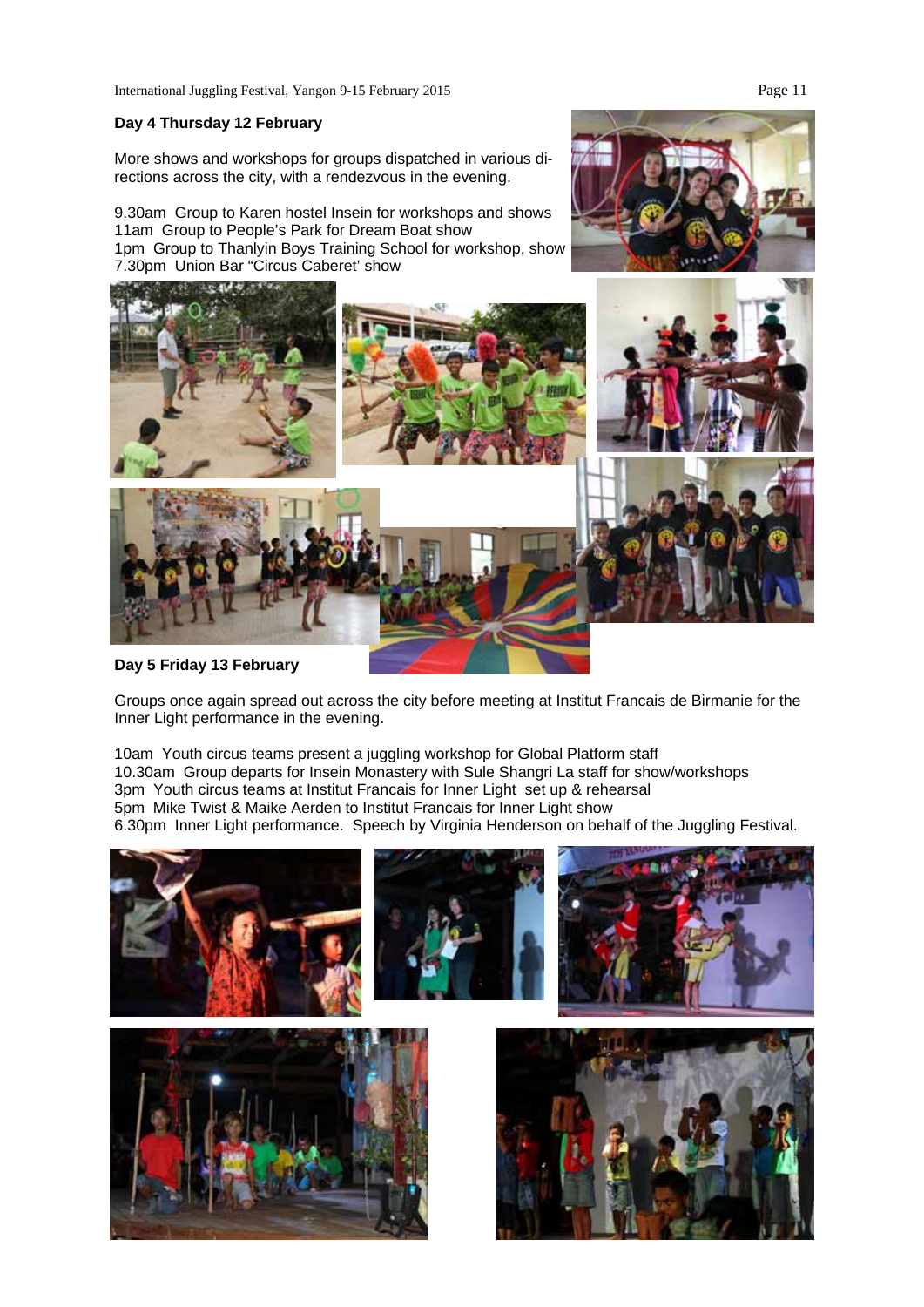#### **Day 4 Thursday 12 February**

More shows and workshops for groups dispatched in various directions across the city, with a rendezvous in the evening.

9.30am Group to Karen hostel Insein for workshops and shows 11am Group to People's Park for Dream Boat show 1pm Group to Thanlyin Boys Training School for workshop, show 7.30pm Union Bar "Circus Caberet' show



**Day 5 Friday 13 February** 

Groups once again spread out across the city before meeting at Institut Francais de Birmanie for the Inner Light performance in the evening.

10am Youth circus teams present a juggling workshop for Global Platform staff 10.30am Group departs for Insein Monastery with Sule Shangri La staff for show/workshops 3pm Youth circus teams at Institut Francais for Inner Light set up & rehearsal 5pm Mike Twist & Maike Aerden to Institut Francais for Inner Light show 6.30pm Inner Light performance. Speech by Virginia Henderson on behalf of the Juggling Festival.

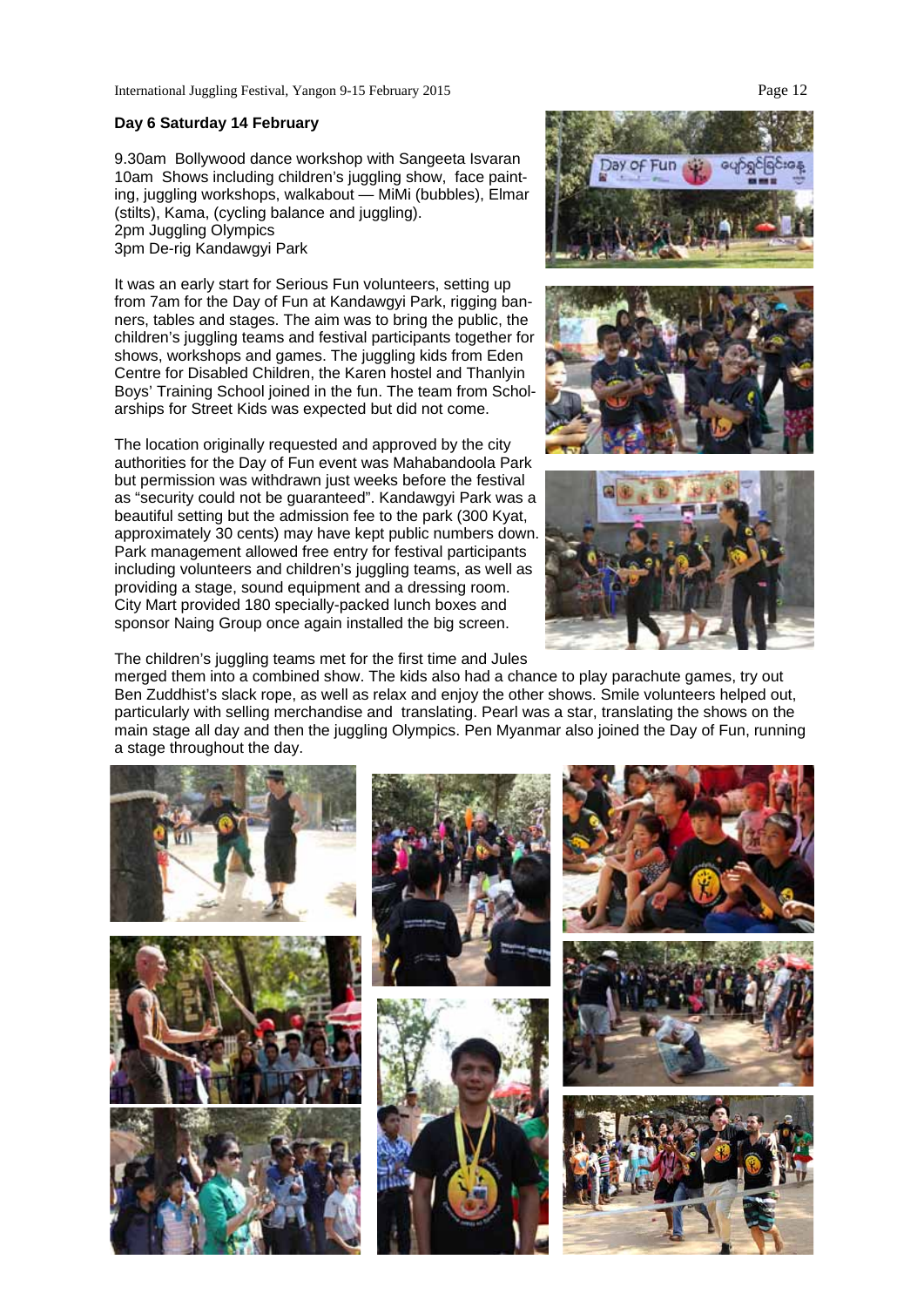#### **Day 6 Saturday 14 February**

9.30am Bollywood dance workshop with Sangeeta Isvaran 10am Shows including children's juggling show, face painting, juggling workshops, walkabout — MiMi (bubbles), Elmar (stilts), Kama, (cycling balance and juggling). 2pm Juggling Olympics 3pm De-rig Kandawgyi Park

It was an early start for Serious Fun volunteers, setting up from 7am for the Day of Fun at Kandawgyi Park, rigging banners, tables and stages. The aim was to bring the public, the children's juggling teams and festival participants together for shows, workshops and games. The juggling kids from Eden Centre for Disabled Children, the Karen hostel and Thanlyin Boys' Training School joined in the fun. The team from Scholarships for Street Kids was expected but did not come.

The location originally requested and approved by the city authorities for the Day of Fun event was Mahabandoola Park but permission was withdrawn just weeks before the festival as "security could not be guaranteed". Kandawgyi Park was a beautiful setting but the admission fee to the park (300 Kyat, approximately 30 cents) may have kept public numbers down. Park management allowed free entry for festival participants including volunteers and children's juggling teams, as well as providing a stage, sound equipment and a dressing room. City Mart provided 180 specially-packed lunch boxes and sponsor Naing Group once again installed the big screen.

The children's juggling teams met for the first time and Jules

merged them into a combined show. The kids also had a chance to play parachute games, try out Ben Zuddhist's slack rope, as well as relax and enjoy the other shows. Smile volunteers helped out, particularly with selling merchandise and translating. Pearl was a star, translating the shows on the main stage all day and then the juggling Olympics. Pen Myanmar also joined the Day of Fun, running a stage throughout the day.



ay of Fun



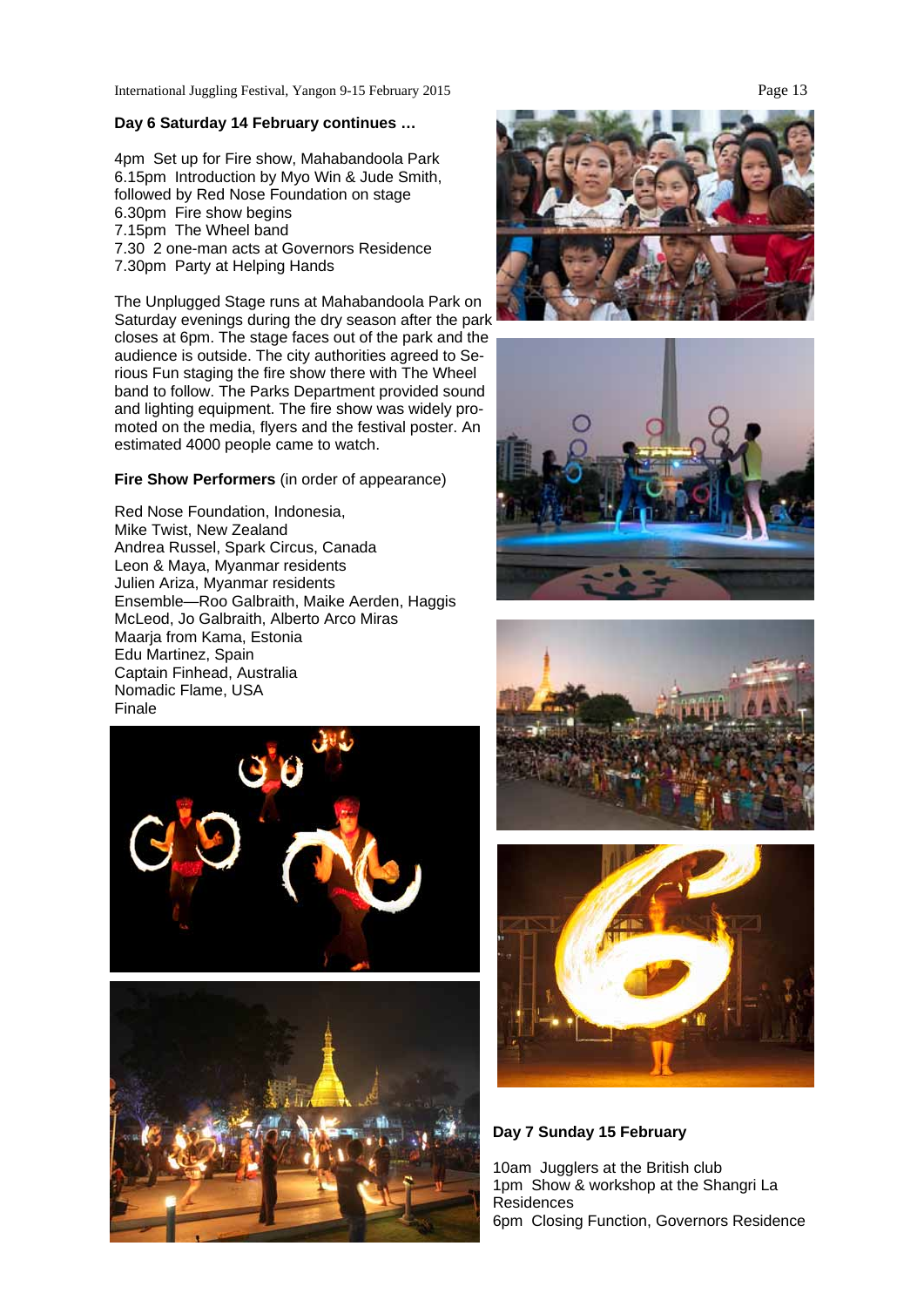International Juggling Festival, Yangon 9-15 February 2015 Page 13

#### **Day 6 Saturday 14 February continues …**

4pm Set up for Fire show, Mahabandoola Park 6.15pm Introduction by Myo Win & Jude Smith, followed by Red Nose Foundation on stage 6.30pm Fire show begins 7.15pm The Wheel band 7.30 2 one-man acts at Governors Residence 7.30pm Party at Helping Hands

The Unplugged Stage runs at Mahabandoola Park on Saturday evenings during the dry season after the park closes at 6pm. The stage faces out of the park and the audience is outside. The city authorities agreed to Serious Fun staging the fire show there with The Wheel band to follow. The Parks Department provided sound and lighting equipment. The fire show was widely promoted on the media, flyers and the festival poster. An estimated 4000 people came to watch.

**Fire Show Performers** (in order of appearance)

Red Nose Foundation, Indonesia, Mike Twist, New Zealand Andrea Russel, Spark Circus, Canada Leon & Maya, Myanmar residents Julien Ariza, Myanmar residents Ensemble—Roo Galbraith, Maike Aerden, Haggis McLeod, Jo Galbraith, Alberto Arco Miras Maarja from Kama, Estonia Edu Martinez, Spain Captain Finhead, Australia Nomadic Flame, USA Finale













**Day 7 Sunday 15 February** 

10am Jugglers at the British club 1pm Show & workshop at the Shangri La Residences 6pm Closing Function, Governors Residence